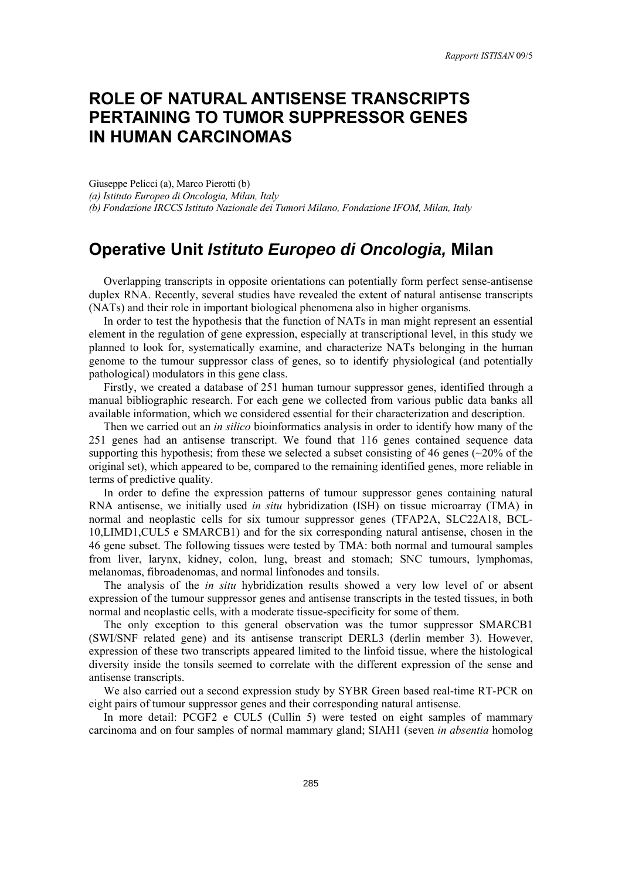# **ROLE OF NATURAL ANTISENSE TRANSCRIPTS PERTAINING TO TUMOR SUPPRESSOR GENES IN HUMAN CARCINOMAS**

Giuseppe Pelicci (a), Marco Pierotti (b) *(a) Istituto Europeo di Oncologia, Milan, Italy (b) Fondazione IRCCS Istituto Nazionale dei Tumori Milano, Fondazione IFOM, Milan, Italy* 

## **Operative Unit** *Istituto Europeo di Oncologia,* **Milan**

Overlapping transcripts in opposite orientations can potentially form perfect sense-antisense duplex RNA. Recently, several studies have revealed the extent of natural antisense transcripts (NATs) and their role in important biological phenomena also in higher organisms.

In order to test the hypothesis that the function of NATs in man might represent an essential element in the regulation of gene expression, especially at transcriptional level, in this study we planned to look for, systematically examine, and characterize NATs belonging in the human genome to the tumour suppressor class of genes, so to identify physiological (and potentially pathological) modulators in this gene class.

Firstly, we created a database of 251 human tumour suppressor genes, identified through a manual bibliographic research. For each gene we collected from various public data banks all available information, which we considered essential for their characterization and description.

Then we carried out an *in silico* bioinformatics analysis in order to identify how many of the 251 genes had an antisense transcript. We found that 116 genes contained sequence data supporting this hypothesis; from these we selected a subset consisting of 46 genes ( $\sim$ 20% of the original set), which appeared to be, compared to the remaining identified genes, more reliable in terms of predictive quality.

In order to define the expression patterns of tumour suppressor genes containing natural RNA antisense, we initially used *in situ* hybridization (ISH) on tissue microarray (TMA) in normal and neoplastic cells for six tumour suppressor genes (TFAP2A, SLC22A18, BCL-10,LIMD1,CUL5 e SMARCB1) and for the six corresponding natural antisense, chosen in the 46 gene subset. The following tissues were tested by TMA: both normal and tumoural samples from liver, larynx, kidney, colon, lung, breast and stomach; SNC tumours, lymphomas, melanomas, fibroadenomas, and normal linfonodes and tonsils.

The analysis of the *in situ* hybridization results showed a very low level of or absent expression of the tumour suppressor genes and antisense transcripts in the tested tissues, in both normal and neoplastic cells, with a moderate tissue-specificity for some of them.

The only exception to this general observation was the tumor suppressor SMARCB1 (SWI/SNF related gene) and its antisense transcript DERL3 (derlin member 3). However, expression of these two transcripts appeared limited to the linfoid tissue, where the histological diversity inside the tonsils seemed to correlate with the different expression of the sense and antisense transcripts.

We also carried out a second expression study by SYBR Green based real-time RT-PCR on eight pairs of tumour suppressor genes and their corresponding natural antisense.

In more detail: PCGF2 e CUL5 (Cullin 5) were tested on eight samples of mammary carcinoma and on four samples of normal mammary gland; SIAH1 (seven *in absentia* homolog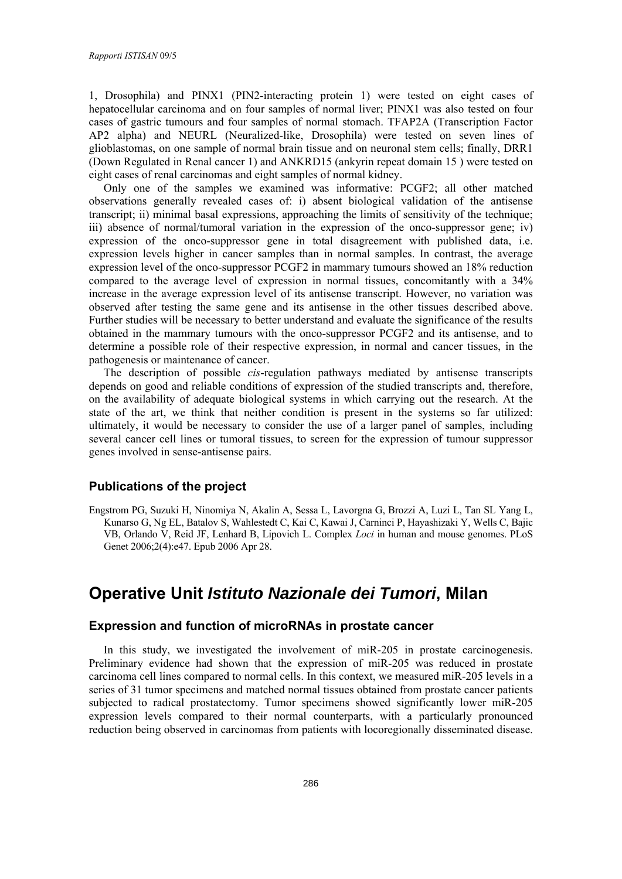1, Drosophila) and PINX1 (PIN2-interacting protein 1) were tested on eight cases of hepatocellular carcinoma and on four samples of normal liver; PINX1 was also tested on four cases of gastric tumours and four samples of normal stomach. TFAP2A (Transcription Factor AP2 alpha) and NEURL (Neuralized-like, Drosophila) were tested on seven lines of glioblastomas, on one sample of normal brain tissue and on neuronal stem cells; finally, DRR1 (Down Regulated in Renal cancer 1) and ANKRD15 (ankyrin repeat domain 15 ) were tested on eight cases of renal carcinomas and eight samples of normal kidney.

Only one of the samples we examined was informative: PCGF2; all other matched observations generally revealed cases of: i) absent biological validation of the antisense transcript; ii) minimal basal expressions, approaching the limits of sensitivity of the technique; iii) absence of normal/tumoral variation in the expression of the onco-suppressor gene; iv) expression of the onco-suppressor gene in total disagreement with published data, i.e. expression levels higher in cancer samples than in normal samples. In contrast, the average expression level of the onco-suppressor PCGF2 in mammary tumours showed an 18% reduction compared to the average level of expression in normal tissues, concomitantly with a 34% increase in the average expression level of its antisense transcript. However, no variation was observed after testing the same gene and its antisense in the other tissues described above. Further studies will be necessary to better understand and evaluate the significance of the results obtained in the mammary tumours with the onco-suppressor PCGF2 and its antisense, and to determine a possible role of their respective expression, in normal and cancer tissues, in the pathogenesis or maintenance of cancer.

The description of possible *cis*-regulation pathways mediated by antisense transcripts depends on good and reliable conditions of expression of the studied transcripts and, therefore, on the availability of adequate biological systems in which carrying out the research. At the state of the art, we think that neither condition is present in the systems so far utilized: ultimately, it would be necessary to consider the use of a larger panel of samples, including several cancer cell lines or tumoral tissues, to screen for the expression of tumour suppressor genes involved in sense-antisense pairs.

### **Publications of the project**

Engstrom PG, Suzuki H, Ninomiya N, Akalin A, Sessa L, Lavorgna G, Brozzi A, Luzi L, Tan SL Yang L, Kunarso G, Ng EL, Batalov S, Wahlestedt C, Kai C, Kawai J, Carninci P, Hayashizaki Y, Wells C, Bajic VB, Orlando V, Reid JF, Lenhard B, Lipovich L. Complex *Loci* in human and mouse genomes. PLoS Genet 2006;2(4):e47. Epub 2006 Apr 28.

## **Operative Unit** *Istituto Nazionale dei Tumori***, Milan**

### **Expression and function of microRNAs in prostate cancer**

In this study, we investigated the involvement of miR-205 in prostate carcinogenesis. Preliminary evidence had shown that the expression of miR-205 was reduced in prostate carcinoma cell lines compared to normal cells. In this context, we measured miR-205 levels in a series of 31 tumor specimens and matched normal tissues obtained from prostate cancer patients subjected to radical prostatectomy. Tumor specimens showed significantly lower miR-205 expression levels compared to their normal counterparts, with a particularly pronounced reduction being observed in carcinomas from patients with locoregionally disseminated disease.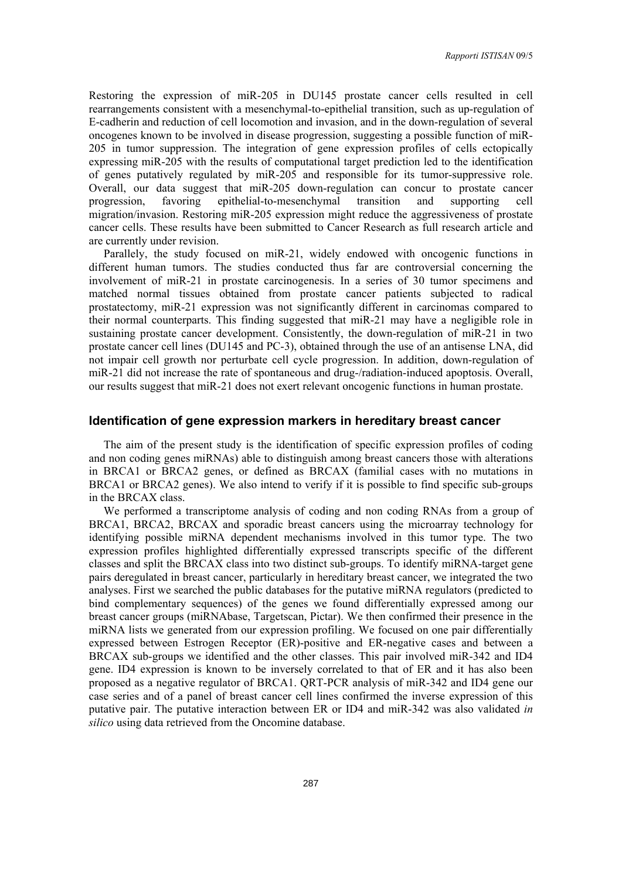Restoring the expression of miR-205 in DU145 prostate cancer cells resulted in cell rearrangements consistent with a mesenchymal-to-epithelial transition, such as up-regulation of E-cadherin and reduction of cell locomotion and invasion, and in the down-regulation of several oncogenes known to be involved in disease progression, suggesting a possible function of miR-205 in tumor suppression. The integration of gene expression profiles of cells ectopically expressing miR-205 with the results of computational target prediction led to the identification of genes putatively regulated by miR-205 and responsible for its tumor-suppressive role. Overall, our data suggest that miR-205 down-regulation can concur to prostate cancer progression, favoring epithelial-to-mesenchymal transition and supporting cell migration/invasion. Restoring miR-205 expression might reduce the aggressiveness of prostate cancer cells. These results have been submitted to Cancer Research as full research article and are currently under revision.

Parallely, the study focused on miR-21, widely endowed with oncogenic functions in different human tumors. The studies conducted thus far are controversial concerning the involvement of miR-21 in prostate carcinogenesis. In a series of 30 tumor specimens and matched normal tissues obtained from prostate cancer patients subjected to radical prostatectomy, miR-21 expression was not significantly different in carcinomas compared to their normal counterparts. This finding suggested that miR-21 may have a negligible role in sustaining prostate cancer development. Consistently, the down-regulation of miR-21 in two prostate cancer cell lines (DU145 and PC-3), obtained through the use of an antisense LNA, did not impair cell growth nor perturbate cell cycle progression. In addition, down-regulation of miR-21 did not increase the rate of spontaneous and drug-/radiation-induced apoptosis. Overall, our results suggest that miR-21 does not exert relevant oncogenic functions in human prostate.

#### **Identification of gene expression markers in hereditary breast cancer**

The aim of the present study is the identification of specific expression profiles of coding and non coding genes miRNAs) able to distinguish among breast cancers those with alterations in BRCA1 or BRCA2 genes, or defined as BRCAX (familial cases with no mutations in BRCA1 or BRCA2 genes). We also intend to verify if it is possible to find specific sub-groups in the BRCAX class.

We performed a transcriptome analysis of coding and non coding RNAs from a group of BRCA1, BRCA2, BRCAX and sporadic breast cancers using the microarray technology for identifying possible miRNA dependent mechanisms involved in this tumor type. The two expression profiles highlighted differentially expressed transcripts specific of the different classes and split the BRCAX class into two distinct sub-groups. To identify miRNA-target gene pairs deregulated in breast cancer, particularly in hereditary breast cancer, we integrated the two analyses. First we searched the public databases for the putative miRNA regulators (predicted to bind complementary sequences) of the genes we found differentially expressed among our breast cancer groups (miRNAbase, Targetscan, Pictar). We then confirmed their presence in the miRNA lists we generated from our expression profiling. We focused on one pair differentially expressed between Estrogen Receptor (ER)-positive and ER-negative cases and between a BRCAX sub-groups we identified and the other classes. This pair involved miR-342 and ID4 gene. ID4 expression is known to be inversely correlated to that of ER and it has also been proposed as a negative regulator of BRCA1. QRT-PCR analysis of miR-342 and ID4 gene our case series and of a panel of breast cancer cell lines confirmed the inverse expression of this putative pair. The putative interaction between ER or ID4 and miR-342 was also validated *in silico* using data retrieved from the Oncomine database.